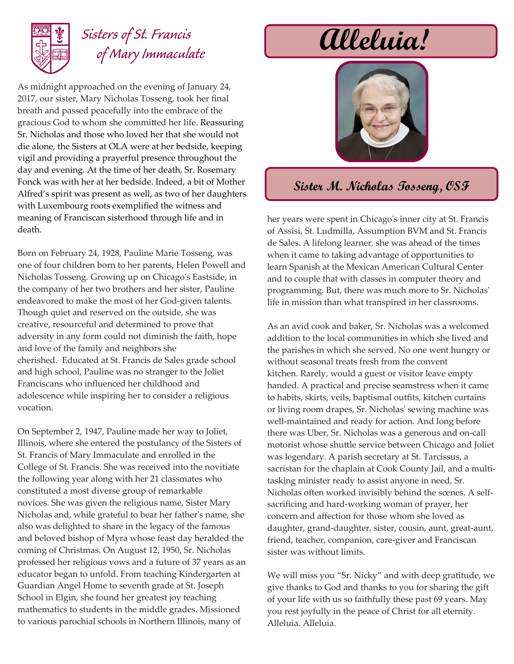

## *Sisters of St. Francis of Mary Immaculate*

As midnight approached on the evening of January 24, 2017, our sister, Mary Nicholas Tosseng, took her final breath and passed peacefully into the embrace of the gracious God to whom she committed her life. Reassuring Sr. Nicholas and those who loved her that she would not die alone, the Sisters at OLA were at her bedside, keeping vigil and providing a prayerful presence throughout the day and evening. At the time of her death, Sr. Rosemary Fonck was with her at her bedside. Indeed, a bit of Mother Alfred's spirit was present as well, as two of her daughters with Luxembourg roots exemplified the witness and meaning of Franciscan sisterhood through life and in death.

Born on February 24, 1928, Pauline Marie Tosseng, was one of four children born to her parents, Helen Powell and Nicholas Tosseng. Growing up on Chicago's Eastside, in the company of her two brothers and her sister, Pauline endeavored to make the most of her God-given talents. Though quiet and reserved on the outside, she was creative, resourceful and determined to prove that adversity in any form could not diminish the faith, hope and love of the family and neighbors she cherished. Educated at St. Francis de Sales grade school and high school, Pauline was no stranger to the Joliet Franciscans who influenced her childhood and adolescence while inspiring her to consider a religious vocation.

On September 2, 1947, Pauline made her way to Joliet, Illinois, where she entered the postulancy of the Sisters of St. Francis of Mary Immaculate and enrolled in the College of St. Francis. She was received into the novitiate the following year along with her 21 classmates who constituted a most diverse group of remarkable novices. She was given the religious name, Sister Mary Nicholas and, while grateful to bear her father's name, she also was delighted to share in the legacy of the famous and beloved bishop of Myra whose feast day heralded the coming of Christmas. On August 12, 1950, Sr. Nicholas professed her religious vows and a future of 37 years as an educator began to unfold. From teaching Kindergarten at Guardian Angel Home to seventh grade at St. Joseph School in Elgin, she found her greatest joy teaching mathematics to students in the middle grades. Missioned to various parochial schools in Northern Illinois, many of

## **Alleluia!**



## **Sister M. Nicholas Tosseng, OSF**

her years were spent in Chicago's inner city at St. Francis of Assisi, St. Ludmilla, Assumption BVM and St. Francis de Sales. A lifelong learner, she was ahead of the times when it came to taking advantage of opportunities to learn Spanish at the Mexican American Cultural Center and to couple that with classes in computer theory and programming. But, there was much more to Sr. Nicholas' life in mission than what transpired in her classrooms.

As an avid cook and baker, Sr. Nicholas was a welcomed addition to the local communities in which she lived and the parishes in which she served. No one went hungry or without seasonal treats fresh from the convent kitchen. Rarely, would a guest or visitor leave empty handed. A practical and precise seamstress when it came to habits, skirts, veils, baptismal outfits, kitchen curtains or living room drapes, Sr. Nicholas' sewing machine was well-maintained and ready for action. And long before there was Uber, Sr. Nicholas was a generous and on-call motorist whose shuttle service between Chicago and Joliet was legendary. A parish secretary at St. Tarcissus, a sacristan for the chaplain at Cook County Jail, and a multitasking minister ready to assist anyone in need, Sr. Nicholas often worked invisibly behind the scenes. A selfsacrificing and hard-working woman of prayer, her concern and affection for those whom she loved as daughter, grand-daughter, sister, cousin, aunt, great-aunt, friend, teacher, companion, care-giver and Franciscan sister was without limits.

We will miss you "Sr. Nicky" and with deep gratitude, we give thanks to God and thanks to you for sharing the gift of your life with us so faithfully these past 69 years. May you rest joyfully in the peace of Christ for all eternity. Alleluia. Alleluia.